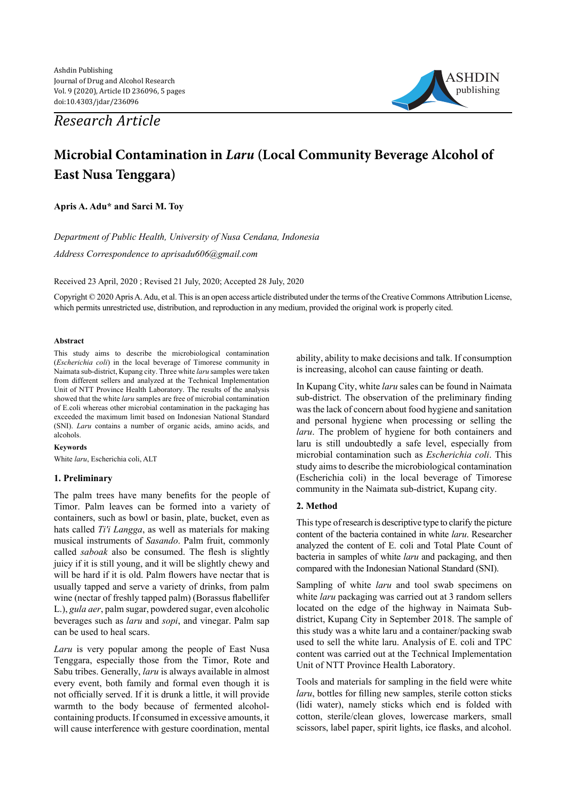*Research Article*



# **Microbial Contamination in** *Laru* **(Local Community Beverage Alcohol of East Nusa Tenggara)**

**Apris A. Adu\* and Sarci M. Toy**

*Department of Public Health, University of Nusa Cendana, Indonesia Address Correspondence to aprisadu606@gmail.com*

Received 23 April, 2020 ; Revised 21 July, 2020; Accepted 28 July, 2020

Copyright © 2020 Apris A. Adu, et al. This is an open access article distributed under the terms of the Creative Commons Attribution License, which permits unrestricted use, distribution, and reproduction in any medium, provided the original work is properly cited.

### **Abstract**

This study aims to describe the microbiological contamination (*Escherichia coli*) in the local beverage of Timorese community in Naimata sub-district, Kupang city. Three white *laru* samples were taken from different sellers and analyzed at the Technical Implementation Unit of NTT Province Health Laboratory. The results of the analysis showed that the white *laru* samples are free of microbial contamination of E.coli whereas other microbial contamination in the packaging has exceeded the maximum limit based on Indonesian National Standard (SNI). *Laru* contains a number of organic acids, amino acids, and alcohols.

#### **Keywords**

White *laru*, Escherichia coli, ALT

# **1. Preliminary**

The palm trees have many benefits for the people of Timor. Palm leaves can be formed into a variety of containers, such as bowl or basin, plate, bucket, even as hats called *Ti'i Langga*, as well as materials for making musical instruments of *Sasando*. Palm fruit, commonly called *saboak* also be consumed. The flesh is slightly juicy if it is still young, and it will be slightly chewy and will be hard if it is old. Palm flowers have nectar that is usually tapped and serve a variety of drinks, from palm wine (nectar of freshly tapped palm) (Borassus flabellifer L.), *gula aer*, palm sugar, powdered sugar, even alcoholic beverages such as *laru* and *sopi*, and vinegar. Palm sap can be used to heal scars.

*Laru* is very popular among the people of East Nusa Tenggara, especially those from the Timor, Rote and Sabu tribes. Generally, *laru* is always available in almost every event, both family and formal even though it is not officially served. If it is drunk a little, it will provide warmth to the body because of fermented alcoholcontaining products. If consumed in excessive amounts, it will cause interference with gesture coordination, mental ability, ability to make decisions and talk. If consumption is increasing, alcohol can cause fainting or death.

In Kupang City, white *laru* sales can be found in Naimata sub-district. The observation of the preliminary finding was the lack of concern about food hygiene and sanitation and personal hygiene when processing or selling the *laru*. The problem of hygiene for both containers and laru is still undoubtedly a safe level, especially from microbial contamination such as *Escherichia coli*. This study aims to describe the microbiological contamination (Escherichia coli) in the local beverage of Timorese community in the Naimata sub-district, Kupang city.

# **2. Method**

This type of research is descriptive type to clarify the picture content of the bacteria contained in white *laru*. Researcher analyzed the content of E. coli and Total Plate Count of bacteria in samples of white *laru* and packaging, and then compared with the Indonesian National Standard (SNI).

Sampling of white *laru* and tool swab specimens on white *laru* packaging was carried out at 3 random sellers located on the edge of the highway in Naimata Subdistrict, Kupang City in September 2018. The sample of this study was a white laru and a container/packing swab used to sell the white laru. Analysis of E. coli and TPC content was carried out at the Technical Implementation Unit of NTT Province Health Laboratory.

Tools and materials for sampling in the field were white *laru*, bottles for filling new samples, sterile cotton sticks (lidi water), namely sticks which end is folded with cotton, sterile/clean gloves, lowercase markers, small scissors, label paper, spirit lights, ice flasks, and alcohol.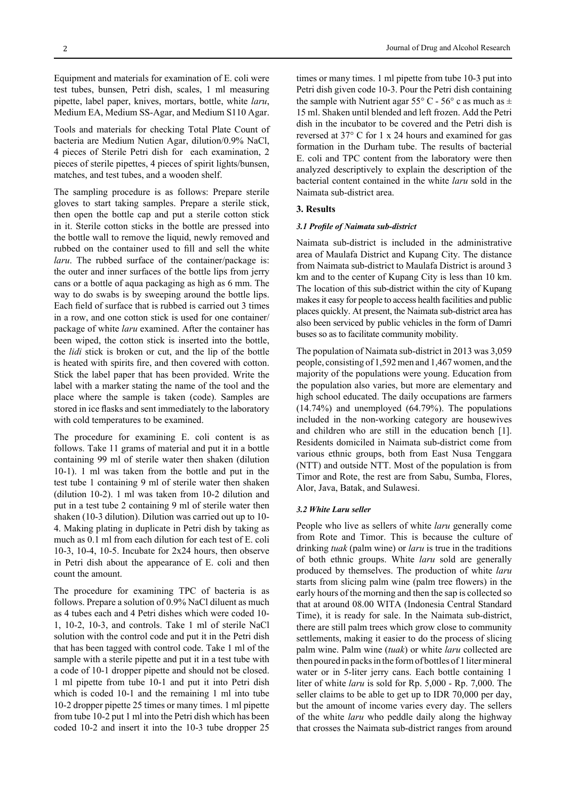Equipment and materials for examination of E. coli were test tubes, bunsen, Petri dish, scales, 1 ml measuring pipette, label paper, knives, mortars, bottle, white *laru*, Medium EA, Medium SS-Agar, and Medium S110 Agar.

Tools and materials for checking Total Plate Count of bacteria are Medium Nutien Agar, dilution/0.9% NaCl, 4 pieces of Sterile Petri dish for each examination, 2 pieces of sterile pipettes, 4 pieces of spirit lights/bunsen, matches, and test tubes, and a wooden shelf.

The sampling procedure is as follows: Prepare sterile gloves to start taking samples. Prepare a sterile stick, then open the bottle cap and put a sterile cotton stick in it. Sterile cotton sticks in the bottle are pressed into the bottle wall to remove the liquid, newly removed and rubbed on the container used to fill and sell the white *laru*. The rubbed surface of the container/package is: the outer and inner surfaces of the bottle lips from jerry cans or a bottle of aqua packaging as high as 6 mm. The way to do swabs is by sweeping around the bottle lips. Each field of surface that is rubbed is carried out 3 times in a row, and one cotton stick is used for one container/ package of white *laru* examined. After the container has been wiped, the cotton stick is inserted into the bottle, the *lidi* stick is broken or cut, and the lip of the bottle is heated with spirits fire, and then covered with cotton. Stick the label paper that has been provided. Write the label with a marker stating the name of the tool and the place where the sample is taken (code). Samples are stored in ice flasks and sent immediately to the laboratory with cold temperatures to be examined.

The procedure for examining E. coli content is as follows. Take 11 grams of material and put it in a bottle containing 99 ml of sterile water then shaken (dilution 10-1). 1 ml was taken from the bottle and put in the test tube 1 containing 9 ml of sterile water then shaken (dilution 10-2). 1 ml was taken from 10-2 dilution and put in a test tube 2 containing 9 ml of sterile water then shaken (10-3 dilution). Dilution was carried out up to 10- 4. Making plating in duplicate in Petri dish by taking as much as 0.1 ml from each dilution for each test of E. coli 10-3, 10-4, 10-5. Incubate for  $2x24$  hours, then observe in Petri dish about the appearance of E. coli and then count the amount.

The procedure for examining TPC of bacteria is as follows. Prepare a solution of 0.9% NaCl diluent as much as 4 tubes each and 4 Petri dishes which were coded 10- 1, 10-2, 10-3, and controls. Take 1 ml of sterile NaCl solution with the control code and put it in the Petri dish that has been tagged with control code. Take 1 ml of the sample with a sterile pipette and put it in a test tube with a code of 10-1 dropper pipette and should not be closed. 1 ml pipette from tube 10-1 and put it into Petri dish which is coded 10-1 and the remaining 1 ml into tube 10-2 dropper pipette 25 times or many times. 1 ml pipette from tube 10-2 put 1 ml into the Petri dish which has been coded 10-2 and insert it into the 10-3 tube dropper 25 times or many times. 1 ml pipette from tube 10-3 put into Petri dish given code 10-3. Pour the Petri dish containing the sample with Nutrient agar 55 $\degree$  C - 56 $\degree$  c as much as  $\pm$ 15 ml. Shaken until blended and left frozen. Add the Petri dish in the incubator to be covered and the Petri dish is reversed at 37° C for 1 x 24 hours and examined for gas formation in the Durham tube. The results of bacterial E. coli and TPC content from the laboratory were then analyzed descriptively to explain the description of the bacterial content contained in the white *laru* sold in the Naimata sub-district area.

#### **3. Results**

#### *3.1 Profile of Naimata sub-district*

Naimata sub-district is included in the administrative area of Maulafa District and Kupang City. The distance from Naimata sub-district to Maulafa District is around 3 km and to the center of Kupang City is less than 10 km. The location of this sub-district within the city of Kupang makes it easy for people to access health facilities and public places quickly. At present, the Naimata sub-district area has also been serviced by public vehicles in the form of Damri buses so as to facilitate community mobility.

The population of Naimata sub-district in 2013 was 3,059 people, consisting of 1,592 men and 1,467 women, and the majority of the populations were young. Education from the population also varies, but more are elementary and high school educated. The daily occupations are farmers (14.74%) and unemployed (64.79%). The populations included in the non-working category are housewives and children who are still in the education bench [1]. Residents domiciled in Naimata sub-district come from various ethnic groups, both from East Nusa Tenggara (NTT) and outside NTT. Most of the population is from Timor and Rote, the rest are from Sabu, Sumba, Flores, Alor, Java, Batak, and Sulawesi.

#### *3.2 White Laru seller*

People who live as sellers of white *laru* generally come from Rote and Timor. This is because the culture of drinking *tuak* (palm wine) or *laru* is true in the traditions of both ethnic groups. White *laru* sold are generally produced by themselves. The production of white *laru* starts from slicing palm wine (palm tree flowers) in the early hours of the morning and then the sap is collected so that at around 08.00 WITA (Indonesia Central Standard Time), it is ready for sale. In the Naimata sub-district, there are still palm trees which grow close to community settlements, making it easier to do the process of slicing palm wine. Palm wine (*tuak*) or white *laru* collected are then poured in packs in the form of bottles of 1 liter mineral water or in 5-liter jerry cans. Each bottle containing 1 liter of white *laru* is sold for Rp. 5,000 - Rp. 7,000. The seller claims to be able to get up to IDR 70,000 per day, but the amount of income varies every day. The sellers of the white *laru* who peddle daily along the highway that crosses the Naimata sub-district ranges from around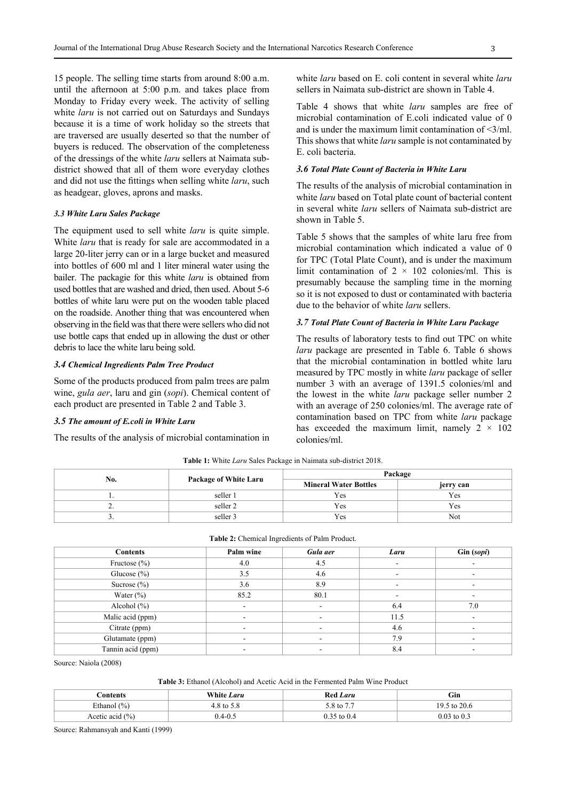15 people. The selling time starts from around 8:00 a.m. until the afternoon at 5:00 p.m. and takes place from Monday to Friday every week. The activity of selling white *laru* is not carried out on Saturdays and Sundays because it is a time of work holiday so the streets that are traversed are usually deserted so that the number of buyers is reduced. The observation of the completeness of the dressings of the white *laru* sellers at Naimata subdistrict showed that all of them wore everyday clothes and did not use the fittings when selling white *laru*, such as headgear, gloves, aprons and masks.

# *3.3 White Laru Sales Package*

The equipment used to sell white *laru* is quite simple. White *laru* that is ready for sale are accommodated in a large 20-liter jerry can or in a large bucket and measured into bottles of 600 ml and 1 liter mineral water using the bailer. The packagie for this white *laru* is obtained from used bottles that are washed and dried, then used. About 5-6 bottles of white laru were put on the wooden table placed on the roadside. Another thing that was encountered when observing in the field was that there were sellers who did not use bottle caps that ended up in allowing the dust or other debris to lace the white laru being sold.

#### *3.4 Chemical Ingredients Palm Tree Product*

Some of the products produced from palm trees are palm wine, *gula aer*, laru and gin (*sopi*). Chemical content of each product are presented in Table 2 and Table 3.

# *3.5 The amount of E.coli in White Laru*

The results of the analysis of microbial contamination in

white *laru* based on E. coli content in several white *laru* sellers in Naimata sub-district are shown in Table 4.

Table 4 shows that white *laru* samples are free of microbial contamination of E.coli indicated value of 0 and is under the maximum limit contamination of <3/ml. This shows that white *laru* sample is not contaminated by E. coli bacteria.

#### *3.6 Total Plate Count of Bacteria in White Laru*

The results of the analysis of microbial contamination in white *laru* based on Total plate count of bacterial content in several white *laru* sellers of Naimata sub-district are shown in Table 5.

Table 5 shows that the samples of white laru free from microbial contamination which indicated a value of 0 for TPC (Total Plate Count), and is under the maximum limit contamination of  $2 \times 102$  colonies/ml. This is presumably because the sampling time in the morning so it is not exposed to dust or contaminated with bacteria due to the behavior of white *laru* sellers.

#### *3.7 Total Plate Count of Bacteria in White Laru Package*

The results of laboratory tests to find out TPC on white *laru* package are presented in Table 6. Table 6 shows that the microbial contamination in bottled white laru measured by TPC mostly in white *laru* package of seller number 3 with an average of 1391.5 colonies/ml and the lowest in the white *laru* package seller number 2 with an average of 250 colonies/ml. The average rate of contamination based on TPC from white *laru* package has exceeded the maximum limit, namely  $2 \times 102$ colonies/ml.

| No.      | Package of White Laru | Package                      |           |  |
|----------|-----------------------|------------------------------|-----------|--|
|          |                       | <b>Mineral Water Bottles</b> | jerry can |  |
| . .      | seller 1              | Yes                          | Yes       |  |
| <u>.</u> | seller 2              | Yes                          | Yes       |  |
| J .      | seller 3              | Yes                          | Not       |  |

**Table 1:** White *Laru* Sales Package in Naimata sub-district 2018.

| Table 2: Chemical Ingredients of Palm Product. |  |
|------------------------------------------------|--|
|------------------------------------------------|--|

| <b>Contents</b>   | Palm wine | Gula aer | Laru | Gin (sopi) |
|-------------------|-----------|----------|------|------------|
| Fructose $(\% )$  | 4.0       | 4.5      |      |            |
| Glucose $(\% )$   | 3.5       | 4.6      |      |            |
| Sucrose $(\% )$   | 3.6       | 8.9      |      |            |
| Water $(\% )$     | 85.2      | 80.1     |      |            |
| Alcohol $(\% )$   |           | ۰        | 6.4  | 7.0        |
| Malic acid (ppm)  |           | ۰        | 11.5 |            |
| Citrate (ppm)     |           |          | 4.6  |            |
| Glutamate (ppm)   |           | ۰        | 7.9  |            |
| Tannin acid (ppm) |           |          | 8.4  |            |

Source: Naiola (2008)

**Table 3:** Ethanol (Alcohol) and Acetic Acid in the Fermented Palm Wine Product

| .`ontents           | White Laru  | Red Laru              | ~∙<br>GIN.      |
|---------------------|-------------|-----------------------|-----------------|
| Ethanol (%)         | 4.8 to 5.8  | $5.8 \text{ to } 7.7$ | 19.5 to 20.6    |
| Acetic acid $(\% )$ | $0.4 - 0.5$ | $\cdot$ to 0.         | $0.03$ to $0.3$ |

Source: Rahmansyah and Kanti (1999)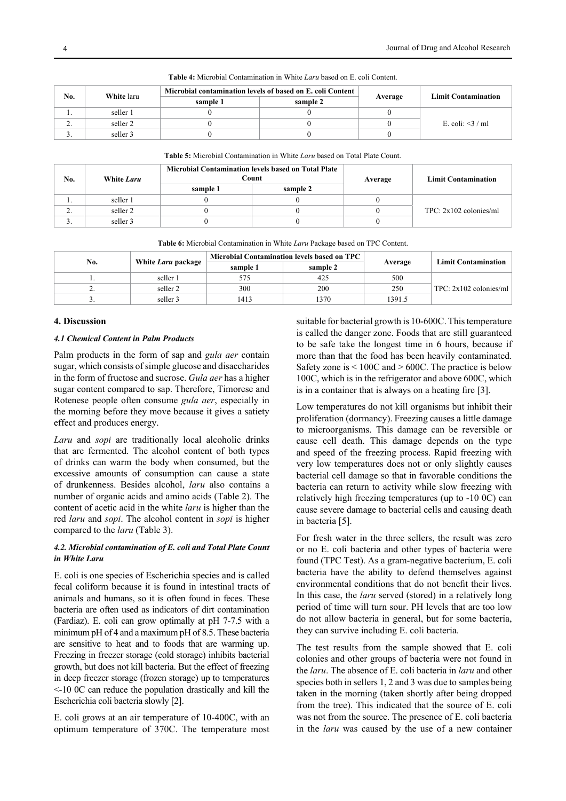| No.      | White laru | Microbial contamination levels of based on E. coli Content |          |         | <b>Limit Contamination</b> |
|----------|------------|------------------------------------------------------------|----------|---------|----------------------------|
|          |            | sample 1                                                   | sample 2 | Average |                            |
|          | seller 1   |                                                            |          |         |                            |
| ,.       | seller 2   |                                                            |          |         | E. coli: $\leq$ 3 / ml     |
| <u>.</u> | seller 3   |                                                            |          |         |                            |

**Table 4:** Microbial Contamination in White *Laru* based on E. coli Content.

| <b>Table 5:</b> Microbial Contamination in White <i>Laru</i> based on Total Plate Count. |  |
|------------------------------------------------------------------------------------------|--|
|------------------------------------------------------------------------------------------|--|

| No. | White Laru |          | <b>Microbial Contamination levels based on Total Plate</b><br>Count | Average | <b>Limit Contamination</b> |  |
|-----|------------|----------|---------------------------------------------------------------------|---------|----------------------------|--|
|     |            | sample 1 | sample 2                                                            |         |                            |  |
| . . | seller 1   |          |                                                                     |         |                            |  |
| ٠.  | seller 2   |          |                                                                     |         | $TPC: 2x102$ colonies/ml   |  |
| J . | seller 3   |          |                                                                     |         |                            |  |

|  | <b>Table 6:</b> Microbial Contamination in White Laru Package based on TPC Content. |
|--|-------------------------------------------------------------------------------------|
|  |                                                                                     |

| No. | White Laru package | <b>Microbial Contamination levels based on TPC</b> |          |         | <b>Limit Contamination</b> |
|-----|--------------------|----------------------------------------------------|----------|---------|----------------------------|
|     |                    | sample 1                                           | sample 2 | Average |                            |
|     | seller 1           | 575                                                | 425      | 500     |                            |
| ٠.  | seller 2           | 300                                                | 200      | 250     | $TPC: 2x102$ colonies/ml   |
|     | seller 3           | 1413                                               | '370     | 1391.5  |                            |

# **4. Discussion**

# *4.1 Chemical Content in Palm Products*

Palm products in the form of sap and *gula aer* contain sugar, which consists of simple glucose and disaccharides in the form of fructose and sucrose. *Gula aer* has a higher sugar content compared to sap. Therefore, Timorese and Rotenese people often consume *gula aer*, especially in the morning before they move because it gives a satiety effect and produces energy.

*Laru* and *sopi* are traditionally local alcoholic drinks that are fermented. The alcohol content of both types of drinks can warm the body when consumed, but the excessive amounts of consumption can cause a state of drunkenness. Besides alcohol, *laru* also contains a number of organic acids and amino acids (Table 2). The content of acetic acid in the white *laru* is higher than the red *laru* and *sopi*. The alcohol content in *sopi* is higher compared to the *laru* (Table 3).

# *4.2. Microbial contamination of E. coli and Total Plate Count in White Laru*

E. coli is one species of Escherichia species and is called fecal coliform because it is found in intestinal tracts of animals and humans, so it is often found in feces. These bacteria are often used as indicators of dirt contamination (Fardiaz). E. coli can grow optimally at pH 7-7.5 with a minimum pH of 4 and a maximum pH of 8.5. These bacteria are sensitive to heat and to foods that are warming up. Freezing in freezer storage (cold storage) inhibits bacterial growth, but does not kill bacteria. But the effect of freezing in deep freezer storage (frozen storage) up to temperatures <-10 0C can reduce the population drastically and kill the Escherichia coli bacteria slowly [2].

E. coli grows at an air temperature of 10-400C, with an optimum temperature of 370C. The temperature most suitable for bacterial growth is 10-600C. This temperature is called the danger zone. Foods that are still guaranteed to be safe take the longest time in 6 hours, because if more than that the food has been heavily contaminated. Safety zone is < 100C and > 600C. The practice is below 100C, which is in the refrigerator and above 600C, which is in a container that is always on a heating fire [3].

Low temperatures do not kill organisms but inhibit their proliferation (dormancy). Freezing causes a little damage to microorganisms. This damage can be reversible or cause cell death. This damage depends on the type and speed of the freezing process. Rapid freezing with very low temperatures does not or only slightly causes bacterial cell damage so that in favorable conditions the bacteria can return to activity while slow freezing with relatively high freezing temperatures (up to -10 0C) can cause severe damage to bacterial cells and causing death in bacteria [5].

For fresh water in the three sellers, the result was zero or no E. coli bacteria and other types of bacteria were found (TPC Test). As a gram-negative bacterium, E. coli bacteria have the ability to defend themselves against environmental conditions that do not benefit their lives. In this case, the *laru* served (stored) in a relatively long period of time will turn sour. PH levels that are too low do not allow bacteria in general, but for some bacteria, they can survive including E. coli bacteria.

The test results from the sample showed that E. coli colonies and other groups of bacteria were not found in the *laru*. The absence of E. coli bacteria in *laru* and other species both in sellers 1, 2 and 3 was due to samples being taken in the morning (taken shortly after being dropped from the tree). This indicated that the source of E. coli was not from the source. The presence of E. coli bacteria in the *laru* was caused by the use of a new container